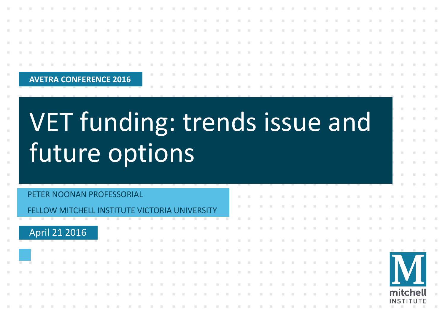| <b>COLLEGE</b> |  |  | <b>AVETRA CONFERENCE 2016</b> |  |  |  |  |  |  |  |  |  |  |  |  |  |  |  |  |  |
|----------------|--|--|-------------------------------|--|--|--|--|--|--|--|--|--|--|--|--|--|--|--|--|--|
|                |  |  |                               |  |  |  |  |  |  |  |  |  |  |  |  |  |  |  |  |  |

# VET funding: trends issue and future options

|  |  | PETER NOONAN PROFESSORIAL                     |  |  |  |  |  |  |  |  |  |   |  |  |  |  |  |                              |  |
|--|--|-----------------------------------------------|--|--|--|--|--|--|--|--|--|---|--|--|--|--|--|------------------------------|--|
|  |  | FELLOW MITCHELL INSTITUTE VICTORIA UNIVERSITY |  |  |  |  |  |  |  |  |  |   |  |  |  |  |  |                              |  |
|  |  |                                               |  |  |  |  |  |  |  |  |  |   |  |  |  |  |  |                              |  |
|  |  | April 21 2016                                 |  |  |  |  |  |  |  |  |  | . |  |  |  |  |  |                              |  |
|  |  |                                               |  |  |  |  |  |  |  |  |  |   |  |  |  |  |  |                              |  |
|  |  |                                               |  |  |  |  |  |  |  |  |  | . |  |  |  |  |  |                              |  |
|  |  |                                               |  |  |  |  |  |  |  |  |  |   |  |  |  |  |  |                              |  |
|  |  |                                               |  |  |  |  |  |  |  |  |  |   |  |  |  |  |  |                              |  |
|  |  |                                               |  |  |  |  |  |  |  |  |  |   |  |  |  |  |  |                              |  |
|  |  |                                               |  |  |  |  |  |  |  |  |  | . |  |  |  |  |  | mitchell<br><b>INSTITUTE</b> |  |
|  |  |                                               |  |  |  |  |  |  |  |  |  |   |  |  |  |  |  |                              |  |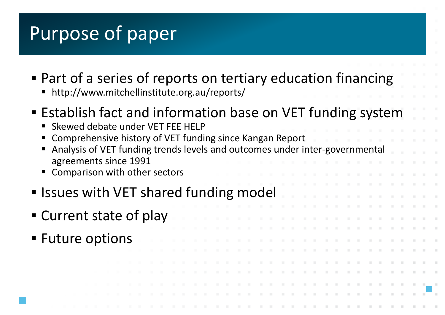### Purpose of paper

- Part of a series of reports on tertiary education financing
	- http://www.mitchellinstitute.org.au/reports/
- Establish fact and information base on VET funding system
	- Skewed debate under VET FEE HELP
	- Comprehensive history of VET funding since Kangan Report
	- **Analysis of VET funding trends levels and outcomes under inter-governmentally** agreements since 1991
	- **EX Comparison with other sectors**
- Issues with VET shared funding model
- Current state of play
- Future options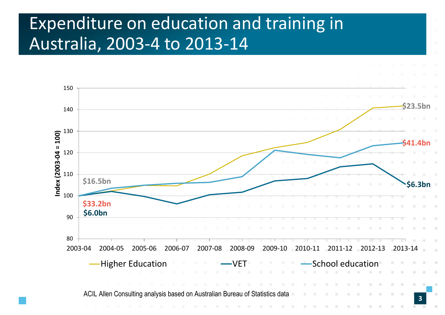#### Expenditure on education and training in Australia, 2003-4 to 2013-14

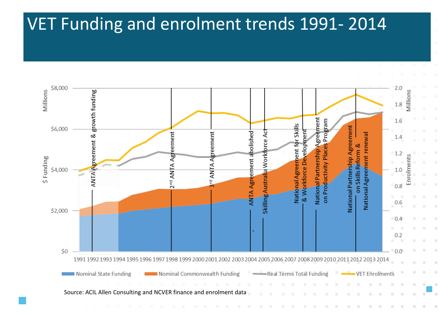#### VET Funding and enrolment trends 1991- 2014

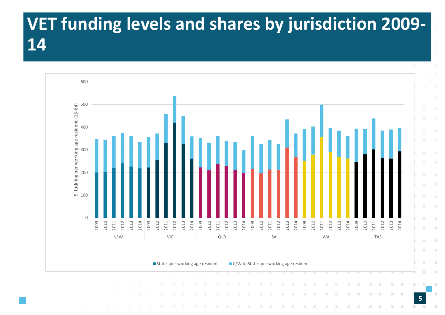### **VET funding levels and shares by jurisdiction 2009-**

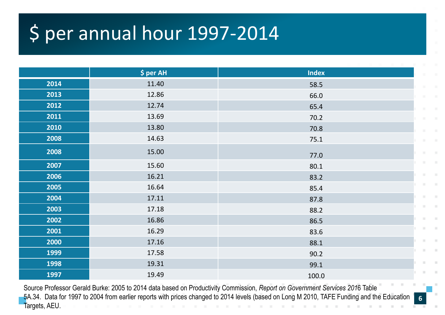# \$ per annual hour 1997-2014

|      | \$ per AH | <b>Index</b> |
|------|-----------|--------------|
| 2014 | 11.40     | 58.5         |
| 2013 | 12.86     | 66.0         |
| 2012 | 12.74     | 65.4         |
| 2011 | 13.69     | 70.2         |
| 2010 | 13.80     | 70.8         |
| 2008 | 14.63     | 75.1         |
| 2008 | 15.00     | 77.0         |
| 2007 | 15.60     | 80.1         |
| 2006 | 16.21     | 83.2         |
| 2005 | 16.64     | 85.4         |
| 2004 | 17.11     | 87.8         |
| 2003 | 17.18     | 88.2         |
| 2002 | 16.86     | 86.5         |
| 2001 | 16.29     | 83.6         |
| 2000 | 17.16     | 88.1         |
| 1999 | 17.58     | 90.2         |
| 1998 | 19.31     | 99.1         |
| 1997 | 19.49     | 100.0        |

Source Professor Gerald Burke: 2005 to 2014 data based on Productivity Commission, *Report on Government Services 201*6 Table 5A.34. Data for 1997 to 2004 from earlier reports with prices changed to 2014 levels (based on Long M 2010, TAFE Funding and the Education Targets, AEU.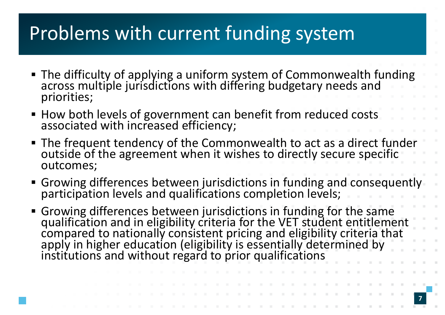# Problems with current funding system

- The difficulty of applying a uniform system of Commonwealth funding across multiple jurisdictions with differing budgetary needs and priorities;
- How both levels of government can benefit from reduced costs associated with increased efficiency;
- The frequent tendency of the Commonwealth to act as a direct funder outside of the agreement when it wishes to directly secure specific outcomes;
- **Growing differences between jurisdictions in funding and consequently** participation levels and qualifications completion levels;
- Growing differences between jurisdictions in funding for the same qualification and in eligibility criteria for the VET student entitlement compared to nationally consistent pricing and eligibility criteria that apply in higher education (eligibility is essentially determined by institutions and without regard to prior qualifications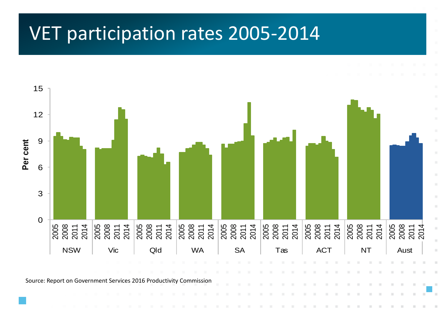# **VET participation rates 2005 – 2014**  VET participation rates 2005-2014

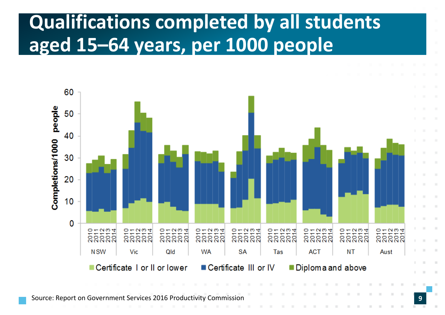# **Qualifications completed by all students aged 15–64 years, per 1000 people**



Source: Report on Government Services 2016 Productivity Commission **9**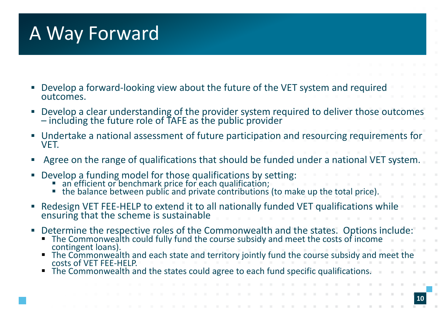# A Way Forward

- Develop a forward-looking view about the future of the VET system and required outcomes.
- **Develop a clear understanding of the provider system required to deliver those outcomes** – including the future role of  $\mathsf{T}$ AFE as the public provider
- Undertake a national assessment of future participation and resourcing requirements for VET.
- Agree on the range of qualifications that should be funded under a national VET system.
- **Develop a funding model for those qualifications by setting:** 
	- **an efficient or benchmark price for each qualification;**
	- the balance between public and private contributions (to make up the total price).
- Redesign VET FEE-HELP to extend it to all nationally funded VET qualifications while ensuring that the scheme is sustainable
- Determine the respective roles of the Commonwealth and the states. Options include:
	- The Commonwealth could fully fund the course subsidy and meet the costs of income contingent loans).
	- The Commonwealth and each state and territory jointly fund the course subsidy and meet the costs of VET FEE-HELP.
	- The Commonwealth and the states could agree to each fund specific qualifications.